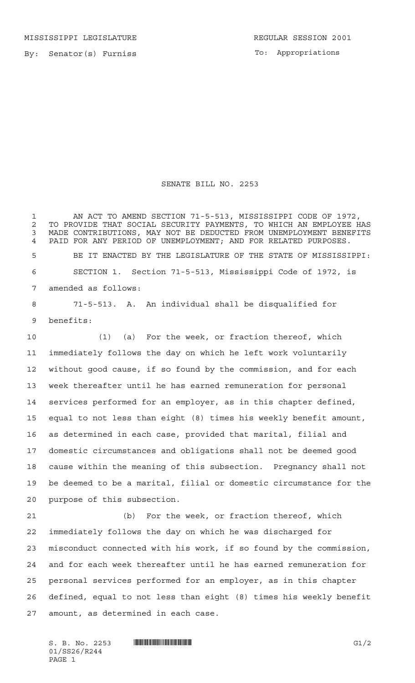MISSISSIPPI LEGISLATURE **REGULAR SESSION 2001** 

By: Senator(s) Furniss

To: Appropriations

## SENATE BILL NO. 2253

1 AN ACT TO AMEND SECTION 71-5-513, MISSISSIPPI CODE OF 1972, 2 TO PROVIDE THAT SOCIAL SECURITY PAYMENTS, TO WHICH AN EMPLOYEE HAS<br>3 MADE CONTRIBUTIONS, MAY NOT BE DEDUCTED FROM UNEMPLOYMENT BENEFITS MADE CONTRIBUTIONS, MAY NOT BE DEDUCTED FROM UNEMPLOYMENT BENEFITS PAID FOR ANY PERIOD OF UNEMPLOYMENT; AND FOR RELATED PURPOSES. BE IT ENACTED BY THE LEGISLATURE OF THE STATE OF MISSISSIPPI: SECTION 1. Section 71-5-513, Mississippi Code of 1972, is amended as follows:

 71-5-513. A. An individual shall be disqualified for benefits:

 (1) (a) For the week, or fraction thereof, which immediately follows the day on which he left work voluntarily without good cause, if so found by the commission, and for each week thereafter until he has earned remuneration for personal services performed for an employer, as in this chapter defined, equal to not less than eight (8) times his weekly benefit amount, as determined in each case, provided that marital, filial and domestic circumstances and obligations shall not be deemed good cause within the meaning of this subsection. Pregnancy shall not be deemed to be a marital, filial or domestic circumstance for the purpose of this subsection.

 (b) For the week, or fraction thereof, which immediately follows the day on which he was discharged for misconduct connected with his work, if so found by the commission, and for each week thereafter until he has earned remuneration for personal services performed for an employer, as in this chapter defined, equal to not less than eight (8) times his weekly benefit amount, as determined in each case.

 $S. B. No. 2253$  **INNIFICAL FINDITE IN THE SECOND SET ASSESS** 01/SS26/R244 PAGE 1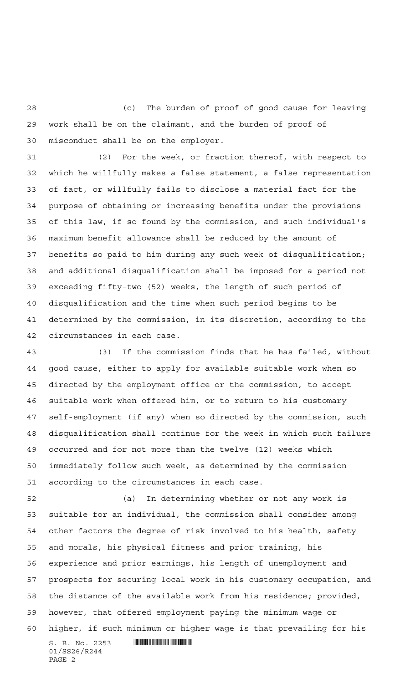(c) The burden of proof of good cause for leaving work shall be on the claimant, and the burden of proof of misconduct shall be on the employer.

 (2) For the week, or fraction thereof, with respect to which he willfully makes a false statement, a false representation of fact, or willfully fails to disclose a material fact for the purpose of obtaining or increasing benefits under the provisions of this law, if so found by the commission, and such individual's maximum benefit allowance shall be reduced by the amount of benefits so paid to him during any such week of disqualification; and additional disqualification shall be imposed for a period not exceeding fifty-two (52) weeks, the length of such period of disqualification and the time when such period begins to be determined by the commission, in its discretion, according to the circumstances in each case.

 (3) If the commission finds that he has failed, without good cause, either to apply for available suitable work when so directed by the employment office or the commission, to accept suitable work when offered him, or to return to his customary self-employment (if any) when so directed by the commission, such disqualification shall continue for the week in which such failure occurred and for not more than the twelve (12) weeks which immediately follow such week, as determined by the commission according to the circumstances in each case.

 $S. B. No. 2253$  . See all the set of  $S. A. A.$  (a) In determining whether or not any work is suitable for an individual, the commission shall consider among other factors the degree of risk involved to his health, safety and morals, his physical fitness and prior training, his experience and prior earnings, his length of unemployment and prospects for securing local work in his customary occupation, and the distance of the available work from his residence; provided, however, that offered employment paying the minimum wage or higher, if such minimum or higher wage is that prevailing for his

01/SS26/R244 PAGE 2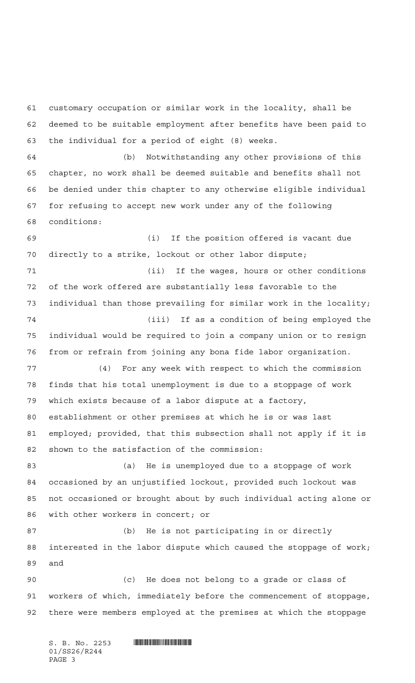customary occupation or similar work in the locality, shall be deemed to be suitable employment after benefits have been paid to the individual for a period of eight (8) weeks. (b) Notwithstanding any other provisions of this chapter, no work shall be deemed suitable and benefits shall not be denied under this chapter to any otherwise eligible individual for refusing to accept new work under any of the following conditions: (i) If the position offered is vacant due directly to a strike, lockout or other labor dispute; (ii) If the wages, hours or other conditions of the work offered are substantially less favorable to the individual than those prevailing for similar work in the locality; (iii) If as a condition of being employed the individual would be required to join a company union or to resign from or refrain from joining any bona fide labor organization. (4) For any week with respect to which the commission finds that his total unemployment is due to a stoppage of work which exists because of a labor dispute at a factory, establishment or other premises at which he is or was last employed; provided, that this subsection shall not apply if it is shown to the satisfaction of the commission: (a) He is unemployed due to a stoppage of work occasioned by an unjustified lockout, provided such lockout was not occasioned or brought about by such individual acting alone or with other workers in concert; or (b) He is not participating in or directly interested in the labor dispute which caused the stoppage of work; and (c) He does not belong to a grade or class of workers of which, immediately before the commencement of stoppage, there were members employed at the premises at which the stoppage

S. B. No. 2253 \*SS26/R244\* 01/SS26/R244 PAGE 3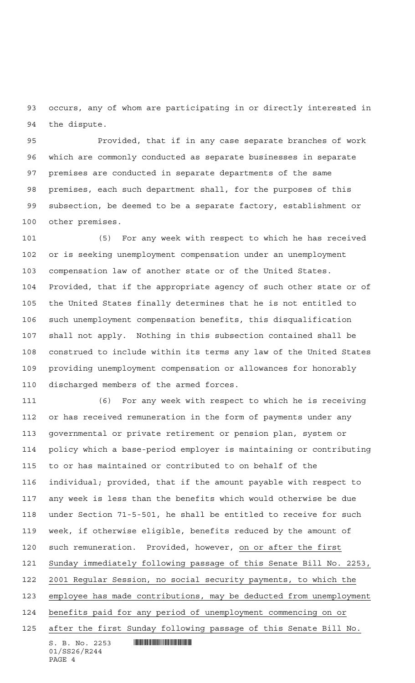occurs, any of whom are participating in or directly interested in the dispute.

 Provided, that if in any case separate branches of work which are commonly conducted as separate businesses in separate premises are conducted in separate departments of the same premises, each such department shall, for the purposes of this subsection, be deemed to be a separate factory, establishment or other premises.

 (5) For any week with respect to which he has received or is seeking unemployment compensation under an unemployment compensation law of another state or of the United States. Provided, that if the appropriate agency of such other state or of the United States finally determines that he is not entitled to such unemployment compensation benefits, this disqualification shall not apply. Nothing in this subsection contained shall be construed to include within its terms any law of the United States providing unemployment compensation or allowances for honorably discharged members of the armed forces.

 $S. B. No. 2253$  . Similar and  $S. A. A.$  (6) For any week with respect to which he is receiving or has received remuneration in the form of payments under any governmental or private retirement or pension plan, system or policy which a base-period employer is maintaining or contributing to or has maintained or contributed to on behalf of the individual; provided, that if the amount payable with respect to any week is less than the benefits which would otherwise be due under Section 71-5-501, he shall be entitled to receive for such week, if otherwise eligible, benefits reduced by the amount of such remuneration. Provided, however, on or after the first Sunday immediately following passage of this Senate Bill No. 2253, 2001 Regular Session, no social security payments, to which the employee has made contributions, may be deducted from unemployment benefits paid for any period of unemployment commencing on or after the first Sunday following passage of this Senate Bill No.

01/SS26/R244 PAGE 4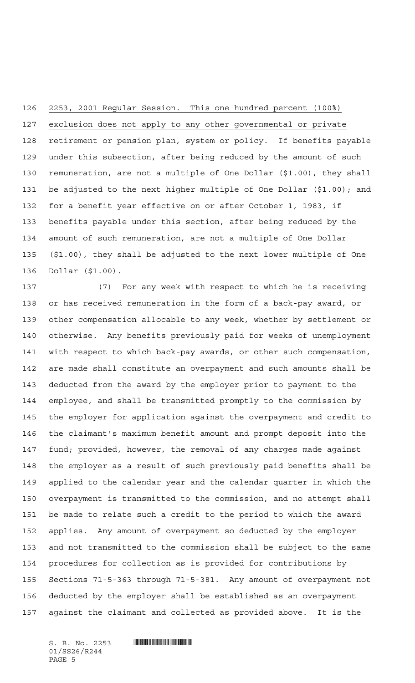2253, 2001 Regular Session. This one hundred percent (100%)

 exclusion does not apply to any other governmental or private retirement or pension plan, system or policy. If benefits payable under this subsection, after being reduced by the amount of such remuneration, are not a multiple of One Dollar (\$1.00), they shall be adjusted to the next higher multiple of One Dollar (\$1.00); and for a benefit year effective on or after October 1, 1983, if benefits payable under this section, after being reduced by the amount of such remuneration, are not a multiple of One Dollar (\$1.00), they shall be adjusted to the next lower multiple of One Dollar (\$1.00).

 (7) For any week with respect to which he is receiving or has received remuneration in the form of a back-pay award, or other compensation allocable to any week, whether by settlement or otherwise. Any benefits previously paid for weeks of unemployment with respect to which back-pay awards, or other such compensation, are made shall constitute an overpayment and such amounts shall be deducted from the award by the employer prior to payment to the employee, and shall be transmitted promptly to the commission by the employer for application against the overpayment and credit to the claimant's maximum benefit amount and prompt deposit into the fund; provided, however, the removal of any charges made against the employer as a result of such previously paid benefits shall be applied to the calendar year and the calendar quarter in which the overpayment is transmitted to the commission, and no attempt shall be made to relate such a credit to the period to which the award applies. Any amount of overpayment so deducted by the employer and not transmitted to the commission shall be subject to the same procedures for collection as is provided for contributions by Sections 71-5-363 through 71-5-381. Any amount of overpayment not deducted by the employer shall be established as an overpayment against the claimant and collected as provided above. It is the

 $S. B. No. 2253$  . The set of  $S. A. A.$ 01/SS26/R244 PAGE 5